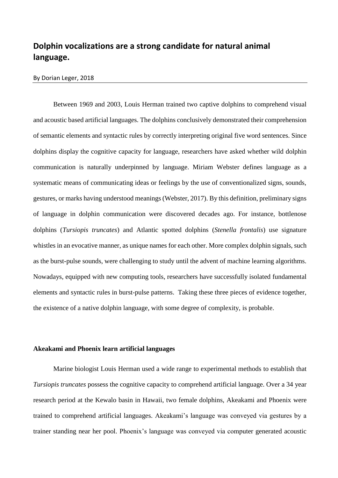# **Dolphin vocalizations are a strong candidate for natural animal language.**

## By Dorian Leger, 2018

Between 1969 and 2003, Louis Herman trained two captive dolphins to comprehend visual and acoustic based artificial languages. The dolphins conclusively demonstrated their comprehension of semantic elements and syntactic rules by correctly interpreting original five word sentences. Since dolphins display the cognitive capacity for language, researchers have asked whether wild dolphin communication is naturally underpinned by language. Miriam Webster defines language as a systematic means of communicating ideas or feelings by the use of conventionalized signs, sounds, gestures, or marks having understood meanings (Webster, 2017). By this definition, preliminary signs of language in dolphin communication were discovered decades ago. For instance, bottlenose dolphins (*Tursiopis truncates*) and Atlantic spotted dolphins (*Stenella frontalis*) use signature whistles in an evocative manner, as unique names for each other. More complex dolphin signals, such as the burst-pulse sounds, were challenging to study until the advent of machine learning algorithms. Nowadays, equipped with new computing tools, researchers have successfully isolated fundamental elements and syntactic rules in burst-pulse patterns. Taking these three pieces of evidence together, the existence of a native dolphin language, with some degree of complexity, is probable.

## **Akeakami and Phoenix learn artificial languages**

Marine biologist Louis Herman used a wide range to experimental methods to establish that *Tursiopis truncates* possess the cognitive capacity to comprehend artificial language. Over a 34 year research period at the Kewalo basin in Hawaii, two female dolphins, Akeakami and Phoenix were trained to comprehend artificial languages. Akeakami's language was conveyed via gestures by a trainer standing near her pool. Phoenix's language was conveyed via computer generated acoustic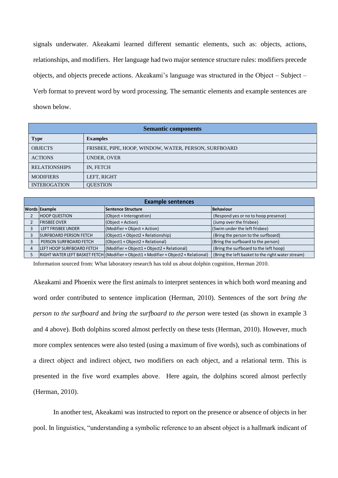signals underwater. Akeakami learned different semantic elements, such as: objects, actions, relationships, and modifiers. Her language had two major sentence structure rules: modifiers precede objects, and objects precede actions. Akeakami's language was structured in the Object – Subject – Verb format to prevent word by word processing. The semantic elements and example sentences are shown below.

| <b>Semantic components</b> |                                                       |  |  |  |
|----------------------------|-------------------------------------------------------|--|--|--|
| <b>Type</b>                | <b>Examples</b>                                       |  |  |  |
| <b>OBJECTS</b>             | FRISBEE, PIPE, HOOP, WINDOW, WATER, PERSON, SURFBOARD |  |  |  |
| <b>ACTIONS</b>             | UNDER, OVER                                           |  |  |  |
| <b>RELATIONSHIPS</b>       | IN, FETCH                                             |  |  |  |
| <b>MODIFIERS</b>           | LEFT, RIGHT                                           |  |  |  |
| <b>INTEROGATION</b>        | <b>OUESTION</b>                                       |  |  |  |

| <b>Example sentences</b> |                               |                                                                                                      |                                                   |  |
|--------------------------|-------------------------------|------------------------------------------------------------------------------------------------------|---------------------------------------------------|--|
|                          | <b>Words Example</b>          | Sentence Structure                                                                                   | Behaviour                                         |  |
|                          | <b>HOOP QUESTION</b>          | $(Object + Interognition)$                                                                           | (Respond yes or no to hoop presence)              |  |
|                          | <b>FRISBEE OVER</b>           | (Object + Action)                                                                                    | (Jump over the frisbee)                           |  |
|                          | LEFT FRISBEE UNDER            | (Modifier + Object + Action)                                                                         | (Swim under the left frisbee)                     |  |
|                          | <b>SURFBOARD PERSON FETCH</b> | $(Object1 + Object2 + Relationship)$                                                                 | (Bring the person to the surfboard)               |  |
|                          | PERSON SURFBOARD FETCH        | $(Object1 + Object2 + Relational)$                                                                   | (Bring the surfboard to the person)               |  |
|                          | LEFT HOOP SURFBOARD FETCH     | $(Modifier + Object1 + Object2 + Relational)$                                                        | (Bring the surfboard to the left hoop)            |  |
|                          |                               | $\vert$ RIGHT WATER LEFT BASKET FETCH $\vert$ (Modifier + Object1 + Modifier + Object2 + Relational) | (Bring the left basket to the right water stream) |  |

Information sourced from: What laboratory research has told us about dolphin cognition, Herman 2010.

Akeakami and Phoenix were the first animals to interpret sentences in which both word meaning and word order contributed to sentence implication (Herman, 2010). Sentences of the sort *bring the person to the surfboard* and *bring the surfboard to the person* were tested (as shown in example 3 and 4 above). Both dolphins scored almost perfectly on these tests (Herman, 2010). However, much more complex sentences were also tested (using a maximum of five words), such as combinations of a direct object and indirect object, two modifiers on each object, and a relational term. This is presented in the five word examples above. Here again, the dolphins scored almost perfectly (Herman, 2010).

In another test, Akeakami was instructed to report on the presence or absence of objects in her pool. In linguistics, "understanding a symbolic reference to an absent object is a hallmark indicant of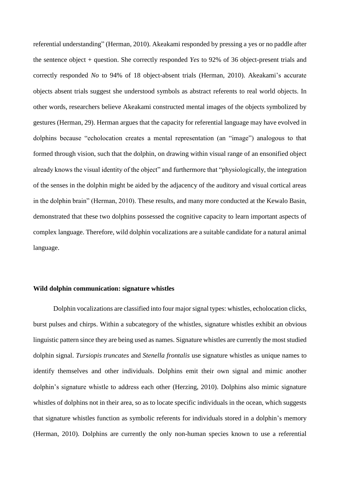referential understanding" (Herman, 2010). Akeakami responded by pressing a yes or no paddle after the sentence object + question. She correctly responded *Yes* to 92% of 36 object-present trials and correctly responded *No* to 94% of 18 object-absent trials (Herman, 2010). Akeakami's accurate objects absent trials suggest she understood symbols as abstract referents to real world objects. In other words, researchers believe Akeakami constructed mental images of the objects symbolized by gestures (Herman, 29). Herman argues that the capacity for referential language may have evolved in dolphins because "echolocation creates a mental representation (an "image") analogous to that formed through vision, such that the dolphin, on drawing within visual range of an ensonified object already knows the visual identity of the object" and furthermore that "physiologically, the integration of the senses in the dolphin might be aided by the adjacency of the auditory and visual cortical areas in the dolphin brain" (Herman, 2010). These results, and many more conducted at the Kewalo Basin, demonstrated that these two dolphins possessed the cognitive capacity to learn important aspects of complex language. Therefore, wild dolphin vocalizations are a suitable candidate for a natural animal language.

#### **Wild dolphin communication: signature whistles**

Dolphin vocalizations are classified into four major signal types: whistles, echolocation clicks, burst pulses and chirps. Within a subcategory of the whistles, signature whistles exhibit an obvious linguistic pattern since they are being used as names. Signature whistles are currently the most studied dolphin signal. *Tursiopis truncates* and *Stenella frontalis* use signature whistles as unique names to identify themselves and other individuals. Dolphins emit their own signal and mimic another dolphin's signature whistle to address each other (Herzing, 2010). Dolphins also mimic signature whistles of dolphins not in their area, so as to locate specific individuals in the ocean, which suggests that signature whistles function as symbolic referents for individuals stored in a dolphin's memory (Herman, 2010). Dolphins are currently the only non-human species known to use a referential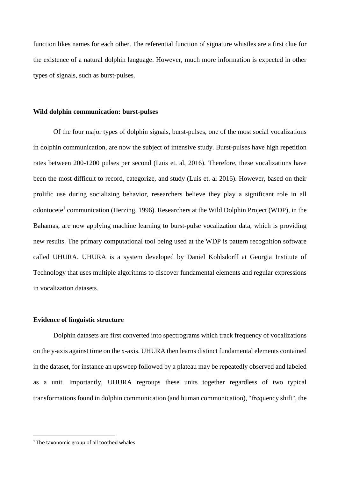function likes names for each other. The referential function of signature whistles are a first clue for the existence of a natural dolphin language. However, much more information is expected in other types of signals, such as burst-pulses.

## **Wild dolphin communication: burst-pulses**

Of the four major types of dolphin signals, burst-pulses, one of the most social vocalizations in dolphin communication, are now the subject of intensive study. Burst-pulses have high repetition rates between 200-1200 pulses per second (Luis et. al, 2016). Therefore, these vocalizations have been the most difficult to record, categorize, and study (Luis et. al 2016). However, based on their prolific use during socializing behavior, researchers believe they play a significant role in all odontocete<sup>1</sup> communication (Herzing, 1996). Researchers at the Wild Dolphin Project (WDP), in the Bahamas, are now applying machine learning to burst-pulse vocalization data, which is providing new results. The primary computational tool being used at the WDP is pattern recognition software called UHURA. UHURA is a system developed by Daniel Kohlsdorff at Georgia Institute of Technology that uses multiple algorithms to discover fundamental elements and regular expressions in vocalization datasets.

#### **Evidence of linguistic structure**

Dolphin datasets are first converted into spectrograms which track frequency of vocalizations on the y-axis against time on the x-axis. UHURA then learns distinct fundamental elements contained in the dataset, for instance an upsweep followed by a plateau may be repeatedly observed and labeled as a unit. Importantly, UHURA regroups these units together regardless of two typical transformations found in dolphin communication (and human communication), "frequency shift", the

 $\overline{\phantom{a}}$ 

<sup>&</sup>lt;sup>1</sup> The taxonomic group of all toothed whales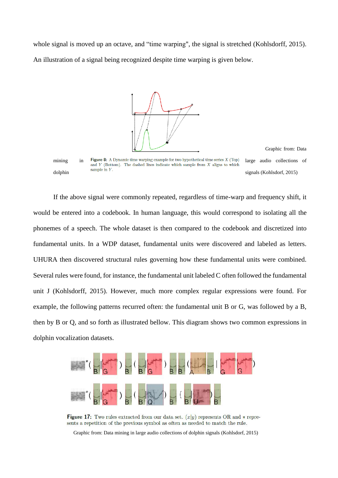whole signal is moved up an octave, and "time warping", the signal is stretched (Kohlsdorff, 2015). An illustration of a signal being recognized despite time warping is given below.



Graphic from: Data

mining in Figure 8: A Dynamic time warping example for two hypothetical time series  $X$  (Top) large audio collections of and  $Y$  (Bottom). The dashed lines indicate which sample from  $X$  aligns to which  $\phi$  sample in Y.<br>dolphin signals (Kohlsdorf, 2015)

If the above signal were commonly repeated, regardless of time-warp and frequency shift, it would be entered into a codebook. In human language, this would correspond to isolating all the phonemes of a speech. The whole dataset is then compared to the codebook and discretized into fundamental units. In a WDP dataset, fundamental units were discovered and labeled as letters. UHURA then discovered structural rules governing how these fundamental units were combined. Several rules were found, for instance, the fundamental unit labeled C often followed the fundamental unit J (Kohlsdorff, 2015). However, much more complex regular expressions were found. For example, the following patterns recurred often: the fundamental unit B or G, was followed by a B, then by B or Q, and so forth as illustrated bellow. This diagram shows two common expressions in dolphin vocalization datasets.



**Figure 17:** Two rules extracted from our data set.  $(x|y)$  represents OR and  $*$  represents a repetition of the previous symbol as often as needed to match the rule.

Graphic from: Data mining in large audio collections of dolphin signals (Kohlsdorf, 2015)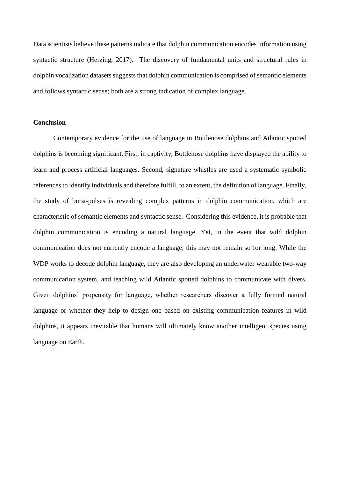Data scientists believe these patterns indicate that dolphin communication encodes information using syntactic structure (Herzing, 2017). The discovery of fundamental units and structural rules in dolphin vocalization datasets suggests that dolphin communication is comprised of semantic elements and follows syntactic sense; both are a strong indication of complex language.

## **Conclusion**

Contemporary evidence for the use of language in Bottlenose dolphins and Atlantic spotted dolphins is becoming significant. First, in captivity, Bottlenose dolphins have displayed the ability to learn and process artificial languages. Second, signature whistles are used a systematic symbolic references to identify individuals and therefore fulfill, to an extent, the definition of language. Finally, the study of burst-pulses is revealing complex patterns in dolphin communication, which are characteristic of semantic elements and syntactic sense. Considering this evidence, it is probable that dolphin communication is encoding a natural language. Yet, in the event that wild dolphin communication does not currently encode a language, this may not remain so for long. While the WDP works to decode dolphin language, they are also developing an underwater wearable two-way communication system, and teaching wild Atlantic spotted dolphins to communicate with divers. Given dolphins' propensity for language, whether researchers discover a fully formed natural language or whether they help to design one based on existing communication features in wild dolphins, it appears inevitable that humans will ultimately know another intelligent species using language on Earth.